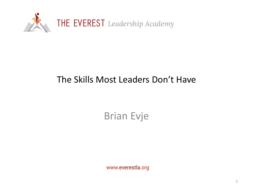

#### The Skills Most Leaders Don't Have

### Brian Evje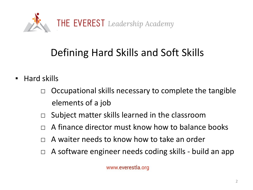

## Defining Hard Skills and Soft Skills

- Hard skills
	- $\Box$  Occupational skills necessary to complete the tangible elements of a job
	- $\Box$  Subject matter skills learned in the classroom
	- $\Box$  A finance director must know how to balance books
	- A waiter needs to know how to take an order
	- A software engineer needs coding skills build an app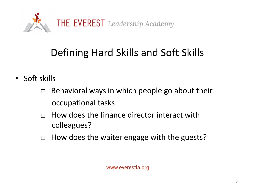

# Defining Hard Skills and Soft Skills

- Soft skills
	- $\Box$  Behavioral ways in which people go about their occupational tasks
	- $\Box$  How does the finance director interact with colleagues?
	- $\Box$  How does the waiter engage with the guests?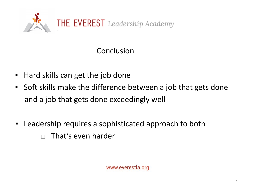

Conclusion

- Hard skills can get the job done
- Soft skills make the difference between a job that gets done and a job that gets done exceedingly well
- Leadership requires a sophisticated approach to both  $\Box$  That's even harder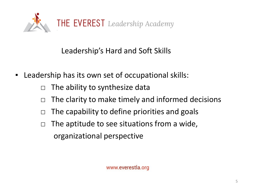

Leadership's Hard and Soft Skills

- Leadership has its own set of occupational skills:
	- $\Box$  The ability to synthesize data
	- $\Box$  The clarity to make timely and informed decisions
	- $\Box$  The capability to define priorities and goals
	- $\Box$  The aptitude to see situations from a wide, organizational perspective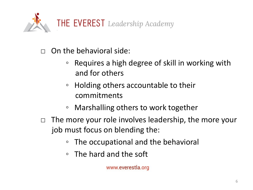

 $\Box$  On the behavioral side:

- Requires a high degree of skill in working with and for others
- Holding others accountable to their commitments
- Marshalling others to work together
- $\Box$  The more your role involves leadership, the more your job must focus on blending the:
	- The occupational and the behavioral
	- The hard and the soft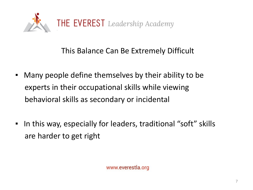

#### This Balance Can Be Extremely Difficult

- Many people define themselves by their ability to be experts in their occupational skills while viewing behavioral skills as secondary or incidental
- In this way, especially for leaders, traditional "soft" skills are harder to get right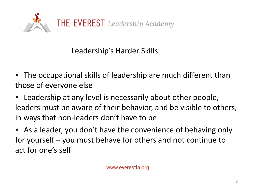

Leadership's Harder Skills

- The occupational skills of leadership are much different than those of everyone else
- Leadership at any level is necessarily about other people, leaders must be aware of their behavior, and be visible to others, in ways that non-leaders don't have to be
- **EXT** As a leader, you don't have the convenience of behaving only for yourself – you must behave for others and not continue to act for one's self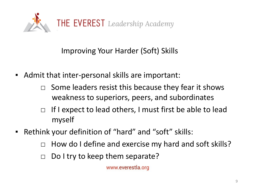

Improving Your Harder (Soft) Skills

- Admit that inter-personal skills are important:
	- $\Box$  Some leaders resist this because they fear it shows weakness to superiors, peers, and subordinates
	- $\Box$  If I expect to lead others, I must first be able to lead myself
- Rethink your definition of "hard" and "soft" skills:
	- $\Box$  How do I define and exercise my hard and soft skills?
	- $\Box$  Do I try to keep them separate?